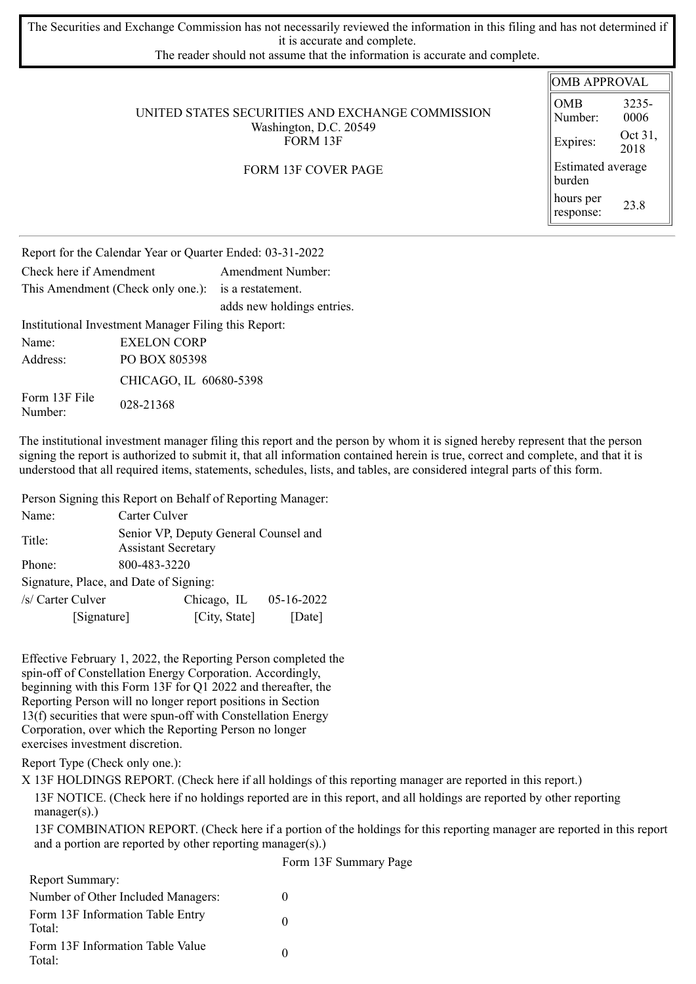The Securities and Exchange Commission has not necessarily reviewed the information in this filing and has not determined if it is accurate and complete.

The reader should not assume that the information is accurate and complete.

|                                                                                        | <b>OMB APPROVAL</b>         |                 |  |
|----------------------------------------------------------------------------------------|-----------------------------|-----------------|--|
| UNITED STATES SECURITIES AND EXCHANGE COMMISSION<br>Washington, D.C. 20549<br>FORM 13F | <b>OMB</b><br>Number:       | 3235-<br>0006   |  |
|                                                                                        | Expires:                    | Oct 31,<br>2018 |  |
| <b>FORM 13F COVER PAGE</b>                                                             | Estimated average<br>burden |                 |  |
|                                                                                        | hours per<br>response:      | 23.8            |  |
|                                                                                        |                             |                 |  |

Report for the Calendar Year or Quarter Ended: 03-31-2022 Check here if Amendment Amendment Number: This Amendment (Check only one.): is a restatement. adds new holdings entries. Institutional Investment Manager Filing this Report: Name: EXELON CORP

Address: PO BOX 805398 CHICAGO, IL 60680-5398 Form 13F File FOIII 13F FIIE 028-21368

The institutional investment manager filing this report and the person by whom it is signed hereby represent that the person signing the report is authorized to submit it, that all information contained herein is true, correct and complete, and that it is understood that all required items, statements, schedules, lists, and tables, are considered integral parts of this form.

Person Signing this Report on Behalf of Reporting Manager:

| Name:             |                                        | Carter Culver                                                       |              |  |  |  |  |
|-------------------|----------------------------------------|---------------------------------------------------------------------|--------------|--|--|--|--|
| Title:            |                                        | Senior VP, Deputy General Counsel and<br><b>Assistant Secretary</b> |              |  |  |  |  |
| Phone:            |                                        | 800-483-3220                                                        |              |  |  |  |  |
|                   | Signature, Place, and Date of Signing: |                                                                     |              |  |  |  |  |
| /s/ Carter Culver |                                        | Chicago, IL                                                         | $05-16-2022$ |  |  |  |  |
|                   | [Signature]                            | [City, State]                                                       | [Date]       |  |  |  |  |

Effective February 1, 2022, the Reporting Person completed the spin-off of Constellation Energy Corporation. Accordingly, beginning with this Form 13F for Q1 2022 and thereafter, the Reporting Person will no longer report positions in Section 13(f) securities that were spun-off with Constellation Energy Corporation, over which the Reporting Person no longer exercises investment discretion.

Report Type (Check only one.):

X 13F HOLDINGS REPORT. (Check here if all holdings of this reporting manager are reported in this report.)

13F NOTICE. (Check here if no holdings reported are in this report, and all holdings are reported by other reporting  $manager(s)$ .)

13F COMBINATION REPORT. (Check here if a portion of the holdings for this reporting manager are reported in this report and a portion are reported by other reporting manager(s).)

|                                            | Form 13F Summary Page |
|--------------------------------------------|-----------------------|
| <b>Report Summary:</b>                     |                       |
| Number of Other Included Managers:         |                       |
| Form 13F Information Table Entry<br>Total: |                       |
| Form 13F Information Table Value<br>Total: |                       |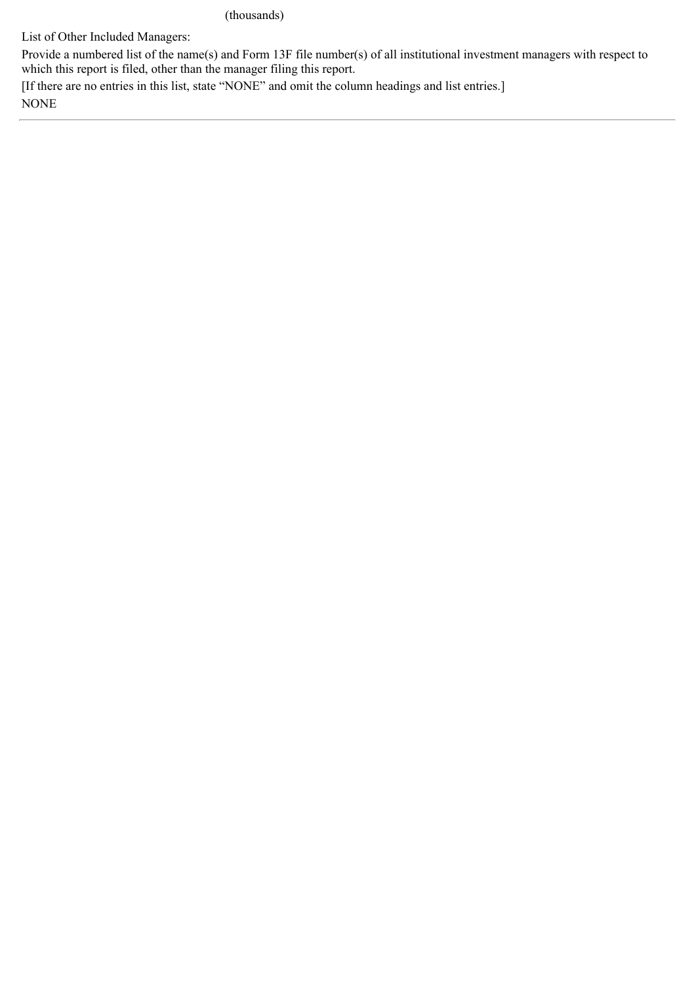(thousands)

List of Other Included Managers:

Provide a numbered list of the name(s) and Form 13F file number(s) of all institutional investment managers with respect to which this report is filed, other than the manager filing this report.

[If there are no entries in this list, state "NONE" and omit the column headings and list entries.] NONE